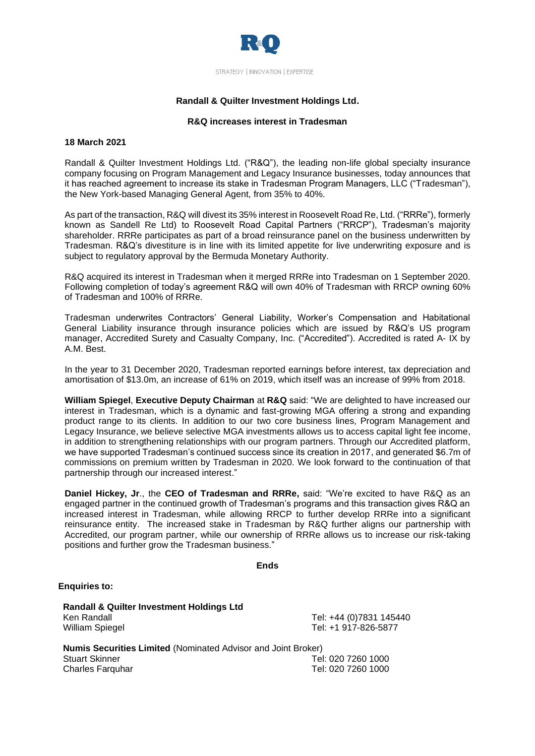

# **Randall & Quilter Investment Holdings Ltd.**

## **R&Q increases interest in Tradesman**

#### **18 March 2021**

Randall & Quilter Investment Holdings Ltd. ("R&Q"), the leading non-life global specialty insurance company focusing on Program Management and Legacy Insurance businesses, today announces that it has reached agreement to increase its stake in Tradesman Program Managers, LLC ("Tradesman"), the New York-based Managing General Agent, from 35% to 40%.

As part of the transaction, R&Q will divest its 35% interest in Roosevelt Road Re,Ltd. ("RRRe"), formerly known as Sandell Re Ltd) to Roosevelt Road Capital Partners ("RRCP"), Tradesman's majority shareholder. RRRe participates as part of a broad reinsurance panel on the business underwritten by Tradesman. R&Q's divestiture is in line with its limited appetite for live underwriting exposure and is subject to regulatory approval by the Bermuda Monetary Authority.

R&Q acquired its interest in Tradesman when it merged RRRe into Tradesman on 1 September 2020. Following completion of today's agreement R&Q will own 40% of Tradesman with RRCP owning 60% of Tradesman and 100% of RRRe.

Tradesman underwrites Contractors' General Liability, Worker's Compensation and Habitational General Liability insurance through insurance policies which are issued by R&Q's US program manager, Accredited Surety and Casualty Company, Inc. ("Accredited"). Accredited is rated A- IX by A.M. Best.

In the year to 31 December 2020, Tradesman reported earnings before interest, tax depreciation and amortisation of \$13.0m, an increase of 61% on 2019, which itself was an increase of 99% from 2018.

**William Spiegel**, **Executive Deputy Chairman** at **R&Q** said: "We are delighted to have increased our interest in Tradesman, which is a dynamic and fast-growing MGA offering a strong and expanding product range to its clients. In addition to our two core business lines, Program Management and Legacy Insurance, we believe selective MGA investments allows us to access capital light fee income, in addition to strengthening relationships with our program partners. Through our Accredited platform, we have supported Tradesman's continued success since its creation in 2017, and generated \$6.7m of commissions on premium written by Tradesman in 2020. We look forward to the continuation of that partnership through our increased interest."

**Daniel Hickey, Jr**., the **CEO of Tradesman and RRRe,** said: "We're excited to have R&Q as an engaged partner in the continued growth of Tradesman's programs and this transaction gives R&Q an increased interest in Tradesman, while allowing RRCP to further develop RRRe into a significant reinsurance entity. The increased stake in Tradesman by R&Q further aligns our partnership with Accredited, our program partner, while our ownership of RRRe allows us to increase our risk-taking positions and further grow the Tradesman business."

**Ends**

**Enquiries to:**

| <b>Randall &amp; Quilter Investment Holdings Ltd</b>                 |                         |
|----------------------------------------------------------------------|-------------------------|
| Ken Randall                                                          | Tel: +44 (0)7831 145440 |
| <b>William Spiegel</b>                                               | Tel: +1 917-826-5877    |
| <b>Numis Securities Limited (Nominated Advisor and Joint Broker)</b> |                         |
| <b>Stuart Skinner</b>                                                | Tel: 020 7260 1000      |

Charles Farquhar Tel: 020 7260 1000